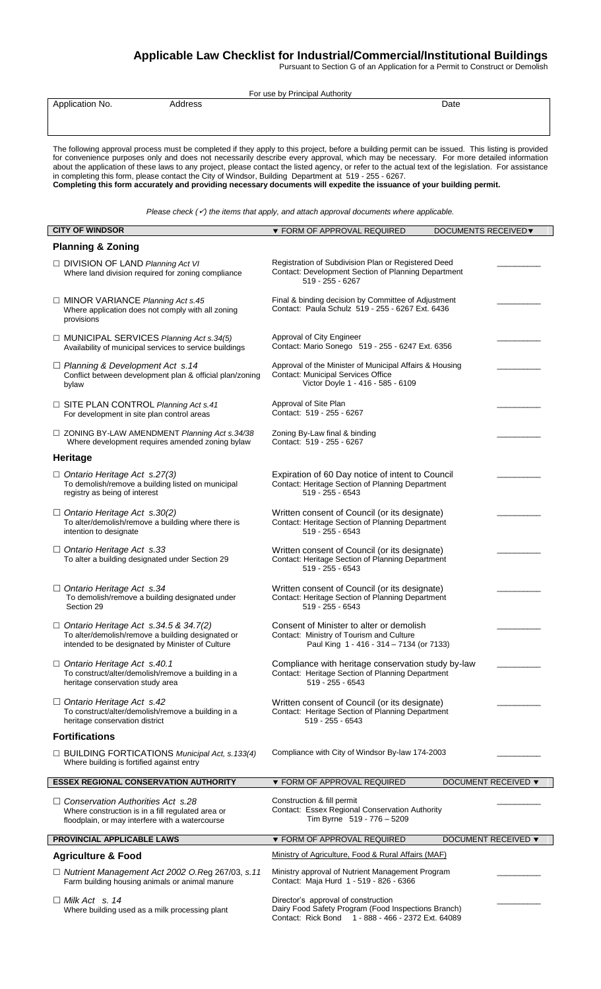# **Applicable Law Checklist for Industrial/Commercial/Institutional Buildings**

Pursuant to Section G of an Application for a Permit to Construct or Demolish

| For use by Principal Authority                                                                                                                                                                                                                                                                                                                                                                                                                                                                                                                                                                                                                                                      |                                                                                                                                                  |                            |
|-------------------------------------------------------------------------------------------------------------------------------------------------------------------------------------------------------------------------------------------------------------------------------------------------------------------------------------------------------------------------------------------------------------------------------------------------------------------------------------------------------------------------------------------------------------------------------------------------------------------------------------------------------------------------------------|--------------------------------------------------------------------------------------------------------------------------------------------------|----------------------------|
| Address<br>Application No.                                                                                                                                                                                                                                                                                                                                                                                                                                                                                                                                                                                                                                                          |                                                                                                                                                  | Date                       |
| The following approval process must be completed if they apply to this project, before a building permit can be issued. This listing is provided<br>for convenience purposes only and does not necessarily describe every approval, which may be necessary. For more detailed information<br>about the application of these laws to any project, please contact the listed agency, or refer to the actual text of the legislation. For assistance<br>in completing this form, please contact the City of Windsor, Building Department at 519 - 255 - 6267.<br>Completing this form accurately and providing necessary documents will expedite the issuance of your building permit. |                                                                                                                                                  |                            |
| Please check $(\checkmark)$ the items that apply, and attach approval documents where applicable.                                                                                                                                                                                                                                                                                                                                                                                                                                                                                                                                                                                   |                                                                                                                                                  |                            |
| <b>CITY OF WINDSOR</b>                                                                                                                                                                                                                                                                                                                                                                                                                                                                                                                                                                                                                                                              | ▼ FORM OF APPROVAL REQUIRED                                                                                                                      | <b>DOCUMENTS RECEIVED▼</b> |
| <b>Planning &amp; Zoning</b>                                                                                                                                                                                                                                                                                                                                                                                                                                                                                                                                                                                                                                                        |                                                                                                                                                  |                            |
| □ DIVISION OF LAND Planning Act VI<br>Where land division required for zoning compliance                                                                                                                                                                                                                                                                                                                                                                                                                                                                                                                                                                                            | Registration of Subdivision Plan or Registered Deed<br>Contact: Development Section of Planning Department<br>519 - 255 - 6267                   |                            |
| □ MINOR VARIANCE Planning Act s.45<br>Where application does not comply with all zoning<br>provisions                                                                                                                                                                                                                                                                                                                                                                                                                                                                                                                                                                               | Final & binding decision by Committee of Adjustment<br>Contact: Paula Schulz 519 - 255 - 6267 Ext. 6436                                          |                            |
| $\Box$ MUNICIPAL SERVICES Planning Act s.34(5)<br>Availability of municipal services to service buildings                                                                                                                                                                                                                                                                                                                                                                                                                                                                                                                                                                           | Approval of City Engineer<br>Contact: Mario Sonego 519 - 255 - 6247 Ext. 6356                                                                    |                            |
| $\Box$ Planning & Development Act s.14<br>Conflict between development plan & official plan/zoning<br>bylaw                                                                                                                                                                                                                                                                                                                                                                                                                                                                                                                                                                         | Approval of the Minister of Municipal Affairs & Housing<br><b>Contact: Municipal Services Office</b><br>Victor Doyle 1 - 416 - 585 - 6109        |                            |
| □ SITE PLAN CONTROL Planning Act s.41<br>For development in site plan control areas                                                                                                                                                                                                                                                                                                                                                                                                                                                                                                                                                                                                 | Approval of Site Plan<br>Contact: 519 - 255 - 6267                                                                                               |                            |
| $\Box$ ZONING BY-LAW AMENDMENT Planning Act s.34/38<br>Where development requires amended zoning bylaw                                                                                                                                                                                                                                                                                                                                                                                                                                                                                                                                                                              | Zoning By-Law final & binding<br>Contact: 519 - 255 - 6267                                                                                       |                            |
| <b>Heritage</b>                                                                                                                                                                                                                                                                                                                                                                                                                                                                                                                                                                                                                                                                     |                                                                                                                                                  |                            |
| $\Box$ Ontario Heritage Act s.27(3)<br>To demolish/remove a building listed on municipal<br>registry as being of interest                                                                                                                                                                                                                                                                                                                                                                                                                                                                                                                                                           | Expiration of 60 Day notice of intent to Council<br>Contact: Heritage Section of Planning Department<br>519 - 255 - 6543                         |                            |
| $\Box$ Ontario Heritage Act s.30(2)<br>To alter/demolish/remove a building where there is<br>intention to designate                                                                                                                                                                                                                                                                                                                                                                                                                                                                                                                                                                 | Written consent of Council (or its designate)<br>Contact: Heritage Section of Planning Department<br>519 - 255 - 6543                            |                            |
| $\Box$ Ontario Heritage Act s.33<br>To alter a building designated under Section 29                                                                                                                                                                                                                                                                                                                                                                                                                                                                                                                                                                                                 | Written consent of Council (or its designate)<br>Contact: Heritage Section of Planning Department<br>519 - 255 - 6543                            |                            |
| □ Ontario Heritage Act s.34<br>To demolish/remove a building designated under<br>Section 29                                                                                                                                                                                                                                                                                                                                                                                                                                                                                                                                                                                         | Written consent of Council (or its designate)<br>Contact: Heritage Section of Planning Department<br>$519 - 255 - 6543$                          |                            |
| $\Box$ Ontario Heritage Act s.34.5 & 34.7(2)<br>To alter/demolish/remove a building designated or<br>intended to be designated by Minister of Culture                                                                                                                                                                                                                                                                                                                                                                                                                                                                                                                               | Consent of Minister to alter or demolish<br>Contact: Ministry of Tourism and Culture<br>Paul King 1 - 416 - 314 - 7134 (or 7133)                 |                            |
| $\Box$ Ontario Heritage Act s.40.1<br>To construct/alter/demolish/remove a building in a<br>heritage conservation study area                                                                                                                                                                                                                                                                                                                                                                                                                                                                                                                                                        | Compliance with heritage conservation study by-law<br>Contact: Heritage Section of Planning Department<br>$519 - 255 - 6543$                     |                            |
| $\Box$ Ontario Heritage Act s.42<br>To construct/alter/demolish/remove a building in a<br>heritage conservation district                                                                                                                                                                                                                                                                                                                                                                                                                                                                                                                                                            | Written consent of Council (or its designate)<br>Contact: Heritage Section of Planning Department<br>$519 - 255 - 6543$                          |                            |
| <b>Fortifications</b>                                                                                                                                                                                                                                                                                                                                                                                                                                                                                                                                                                                                                                                               |                                                                                                                                                  |                            |
| $\Box$ BUILDING FORTICATIONS Municipal Act, s.133(4)<br>Where building is fortified against entry                                                                                                                                                                                                                                                                                                                                                                                                                                                                                                                                                                                   | Compliance with City of Windsor By-law 174-2003                                                                                                  |                            |
| <b>ESSEX REGIONAL CONSERVATION AUTHORITY</b>                                                                                                                                                                                                                                                                                                                                                                                                                                                                                                                                                                                                                                        | ▼ FORM OF APPROVAL REQUIRED                                                                                                                      | <b>DOCUMENT RECEIVED ▼</b> |
| $\Box$ Conservation Authorities Act s.28<br>Where construction is in a fill regulated area or<br>floodplain, or may interfere with a watercourse                                                                                                                                                                                                                                                                                                                                                                                                                                                                                                                                    | Construction & fill permit<br>Contact: Essex Regional Conservation Authority<br>Tim Byrne 519 - 776 - 5209                                       |                            |
| PROVINCIAL APPLICABLE LAWS                                                                                                                                                                                                                                                                                                                                                                                                                                                                                                                                                                                                                                                          | ▼ FORM OF APPROVAL REQUIRED                                                                                                                      | DOCUMENT RECEIVED ▼        |
| <b>Agriculture &amp; Food</b>                                                                                                                                                                                                                                                                                                                                                                                                                                                                                                                                                                                                                                                       | Ministry of Agriculture, Food & Rural Affairs (MAF)                                                                                              |                            |
| □ Nutrient Management Act 2002 O.Reg 267/03, s.11<br>Farm building housing animals or animal manure                                                                                                                                                                                                                                                                                                                                                                                                                                                                                                                                                                                 | Ministry approval of Nutrient Management Program<br>Contact: Maja Hurd 1 - 519 - 826 - 6366                                                      |                            |
| $\Box$ Milk Act s. 14<br>Where building used as a milk processing plant                                                                                                                                                                                                                                                                                                                                                                                                                                                                                                                                                                                                             | Director's approval of construction<br>Dairy Food Safety Program (Food Inspections Branch)<br>Contact: Rick Bond 1 - 888 - 466 - 2372 Ext. 64089 |                            |